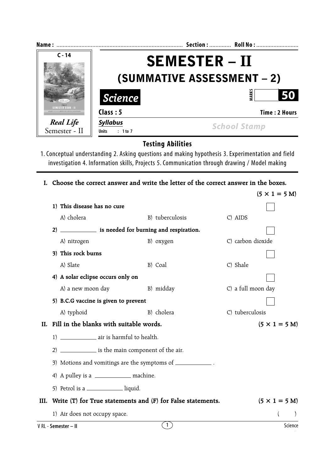| Name:                                                                      |                                   | Section:  Roll No:   |  |
|----------------------------------------------------------------------------|-----------------------------------|----------------------|--|
| $C - 14$                                                                   | <b>SEMESTER – II</b>              |                      |  |
|                                                                            | <b>(SUMMATIVE ASSESSMENT – 2)</b> |                      |  |
|                                                                            | <i><b>Science</b></i>             | ARK:<br>50           |  |
| <b>SEMESTER BOOK - II</b><br>an Gunna Mathematics Science - Social Studies | Class: 5                          | <b>Time: 2 Hours</b> |  |
| Real Life<br>Semester - II                                                 | <b>Syllabus</b>                   | <b>School Stamp</b>  |  |
|                                                                            | : 1 to 7<br><b>Units</b>          |                      |  |

**Testing Abilities**

- 1. Conceptual understanding 2. Asking questions and making hypothesis 3. Experimentation and field investigation 4. Information skills, Projects 5. Communication through drawing / Model making
	- **I. Choose the correct answer and write the letter of the correct answer in the boxes.**

|      |                                                             |                                                                 | $(5 \times 1 = 5$ M)         |  |  |  |
|------|-------------------------------------------------------------|-----------------------------------------------------------------|------------------------------|--|--|--|
|      | 1) This disease has no cure                                 |                                                                 |                              |  |  |  |
|      | A) cholera                                                  | B) tuberculosis                                                 | C) AIDS                      |  |  |  |
|      | (2)                                                         | is needed for burning and respiration.                          |                              |  |  |  |
|      | A) nitrogen                                                 | B) oxygen                                                       | C) carbon dioxide            |  |  |  |
|      | 3) This rock burns                                          |                                                                 |                              |  |  |  |
|      | A) Slate                                                    | B) Coal                                                         | C) Shale                     |  |  |  |
|      | 4) A solar eclipse occurs only on                           |                                                                 |                              |  |  |  |
|      | A) a new moon day                                           | B) midday                                                       | C) a full moon day           |  |  |  |
|      | 5) B.C.G vaccine is given to prevent                        |                                                                 |                              |  |  |  |
|      | A) typhoid                                                  | B) cholera                                                      | C) tuberculosis              |  |  |  |
|      |                                                             | II. Fill in the blanks with suitable words.                     |                              |  |  |  |
|      |                                                             | 1) _________________ air is harmful to health.                  |                              |  |  |  |
|      |                                                             | 2) ______________ is the main component of the air.             |                              |  |  |  |
|      | 3) Motions and vomitings are the symptoms of _____________. |                                                                 |                              |  |  |  |
|      | 4) A pulley is a ________________ machine.                  |                                                                 |                              |  |  |  |
|      | 5) Petrol is a ______________ liquid.                       |                                                                 |                              |  |  |  |
| III. |                                                             | Write $(T)$ for True statements and $(F)$ for False statements. | $(5 \times 1 = 5 \text{ M})$ |  |  |  |
|      | 1) Air does not occupy space.                               |                                                                 |                              |  |  |  |
|      | V RL - Semester - II                                        | $\left(1\right)$                                                | Science                      |  |  |  |
|      |                                                             |                                                                 |                              |  |  |  |